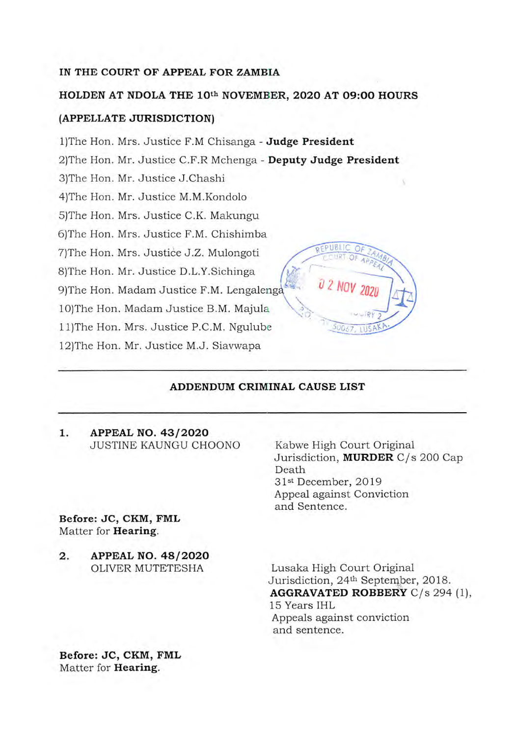# **IN THE COURT OF APPEAL FOR ZAMBIA**

#### **HOLDEN AT NDOLA THE 10th NOVEMBER, 2020 AT 09:00 HOURS**

## **(APPELLATE JURISDICTION)**

1)The Hon. Mrs. Justice F.M Chisanga - **Judge President**  2)The Hon. Mr. Justice C.F.R Mchenga - **Deputy Judge President**  3)The Hon. Mr. Justice J.Chashi 4)The Hon. Mr. Justice M.M.Kondolo 5)The Hon. Mrs. Justice C.K. Makungu 6)The Hon. Mrs. Justice F.M. Chishimba 7)The Hon. Mrs. Justice J.Z. Mulongoti 8)The Hon. Mr. Justice D.L.Y.Sichinga 9)The Hon. Madam Justice F.M. Lengaleng 1O)The Hon. Madam Justice B.M. Majula 11)The Hon. Mrs. Justice P.C.M. Ngulube 12)The Hon. Mr. Justice M.J. Siavwapa

## **ADDENDUM CRIMINAL CAUSE LIST**

**1. APPEAL NO. 43/2020**  JUSTINE KAUNGU CHOONO

**Before: JC, CKM, FML**  Matter for **Hearing.** 

**2. APPEAL NO. 48/2020**  OLIVER MUTETESHA

Kabwe High Court Original Jurisdiction, **MURDER** C/s 200 Cap Death 31st December, 2019 Appeal against Conviction and Sentence.

Lusaka High Court Original Jurisdiction, 24th September, 2018. **AGGRAVATED ROBBERY** C/s 294 (1), 15 Years IHL Appeals against conviction and sentence.

**Before: JC, CKM, FML**  Matter for **Hearing.**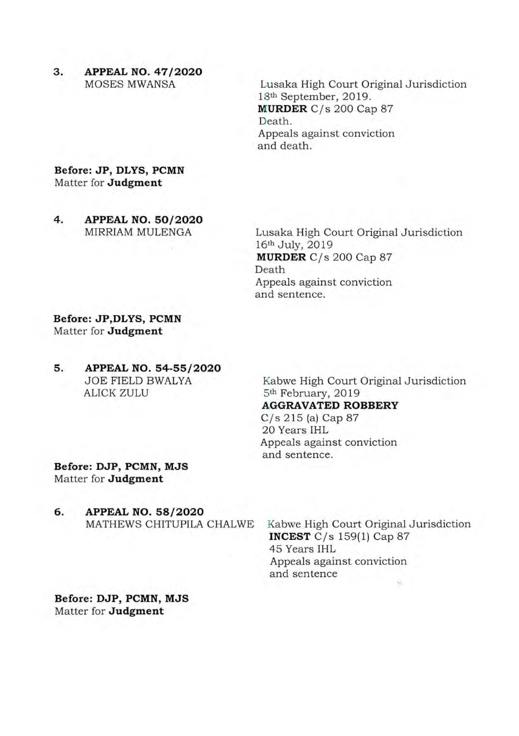**3. APPEAL NO. 47/2020 MOSES MWANSA** 

Lusaka High Court Original Jurisdiction lSth September, 2019. MURDER C/s 200 Cap 87 Death. Appeals against conviction and death.

**Before: JP, DLYS, PCMN**  Matter for **Judgment** 

**4. APPEAL NO. 50/2020 MIRRIAM MULENGA** 

Lusaka High Court Original Jurisdiction 16th July, 2019 **MURDER** C/s 200 Cap 87 Death Appeals against conviction and sentence.

**Before: JP,DLYS, PCMN Matter for Judgment** 

**5. APPEAL NO. 54-55/2020 JOE FIELD BWALYA ALICK ZULU** 

Kabwe High Court Original Jurisdiction 5th February, 2019 **AGGRAVATED ROBBERY** 

C/s 215 (a) Cap 87 20 Years IHL Appeals against conviction and sentence.

**Before: DJP, PCMN, MJS Matter for Judgment** 

**6. APPEAL NO. 58/2020**  MATHEWS CHITUPILA CHALWE

Kabwe High Court Original Jurisdiction **INCEST** C/s 159(1) Cap 87 45 Years IHL Appeals against conviction and sentence

**Before: DJP, PCMN, MJS Matter for Judgment**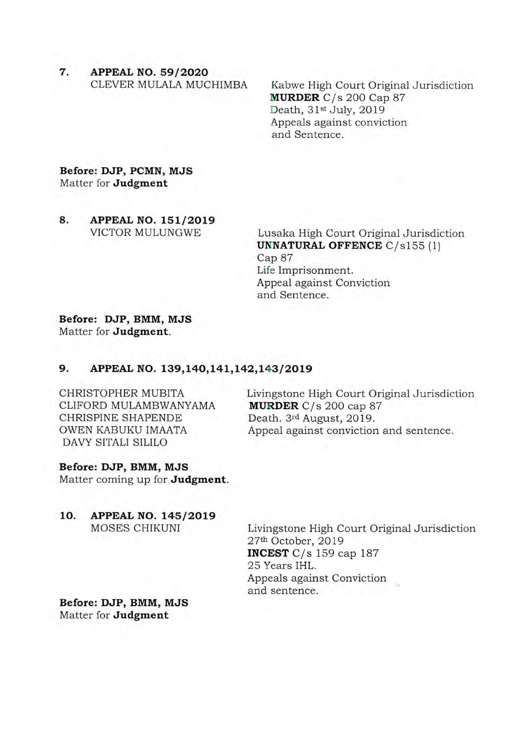7. APPEAL NO. 59/2020 CLEVER MULALA MUCHIMBA

Kabwe High Court Original Jurisdiction MURDER C/s 200 Cap 87 Death, 31st July, 2019 Appeals against conviction and Sentence.

## **Before: DJP, PCMN, MJS**  Matter for **Judgment**

**8. APPEAL NO. 151/2019 VICTOR MULUNGWE** 

Lusaka High Court Original Jurisdiction **UNNATURAL OFFENCE** C/s155 (1) Cap 87 Life Imprisonment. Appeal against Conviction and Sentence.

# **Before: DJP, BMM, MJS Matter for Judgment.**

## **9. APPEAL NO. 139,140,141,142,143/2019**

CHRISTOPHER MUBITA CLIFORD MULAMBWANYAMA CHRISPINE SHAPENDE OWEN KABUKU IMAATA DAVY SITALI SILILO

Livingstone High Court Original Jurisdiction **MURDER** C/s 200 cap 87 Death. 3rd August, 2019. Appeal against conviction and sentence.

#### **Before: DJP, BMM, MJS**

Matter coming up for **Judgment.** 

**10. APPEAL NO. 145/2019**  MOSES CHIKUNI

Livingstone High Court Original Jurisdiction 27th October, 2019 **INCEST** C/s 159 cap 187 25 Years IHL. Appeals against Conviction and sentence.

**Before: DJP, BMM, MJS**  Matter for **Judgment**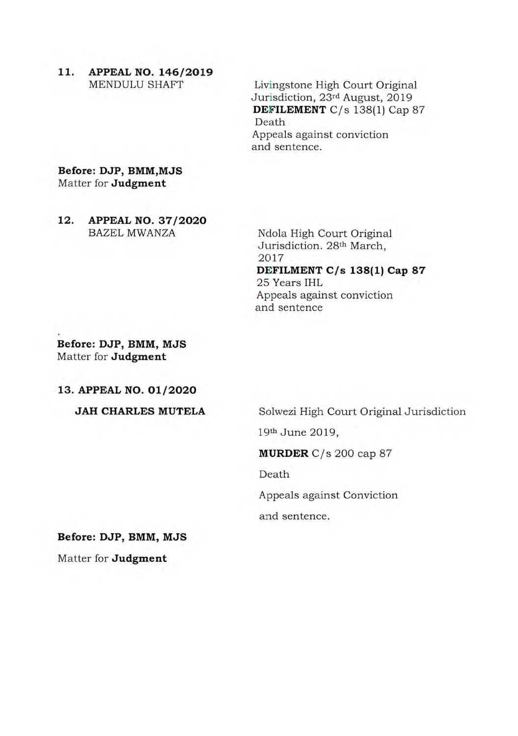**11. APPEAL NO. 146/2019 MENDULU SHAFT** 

Livingstone High Court Original Jurisdiction, 23rd August, 2019 **DEFILEMENT** C/s 138(1) Cap 87 Death Appeals against conviction and sentence.

**Before: DJP, BMM,MJS**  Matter for **Judgment** 

**12. APPEAL NO. 37/2020**  BAZEL MWANZA

Ndola High Court Original Jurisdiction. 28th March, 2017 **DEFILMENT C/s 138(1) Cap 87**  25 Years IHL Appeals against conviction and sentence

**Before: DJP, BMM, MJS Matter for Judgment** 

**13. APPEAL NO. 01/2020** 

**JAH CHARLES MUTELA** 

Soiwezi High Court Original Jurisdiction

19th June 2019,

**MURDER** C/s 200 cap 87

Death

Appeals against Conviction

and sentence.

**Before: DJP, BMM, MJS** 

Matter for **Judgment**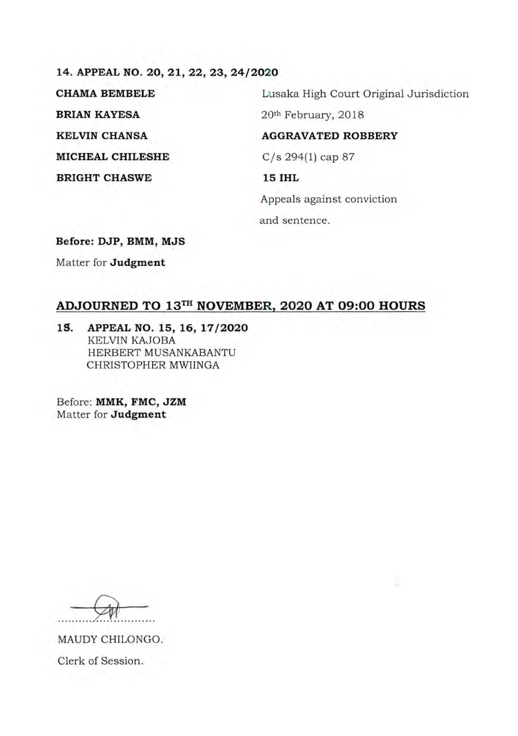**14. APPEAL NO. 20, 21, 22, 23, 24/2020 BRIAN KAYESA** 20<sup>th</sup> February, 2018 **KELVIN CHANSA AGGRAVATED ROBBERY MICHEAL CHILESHE C/s** 294(1) cap 87 **BRIGHT CHASWE 15 IHL** 

CHAMA BEMBELE Lusaka High Court Original Jurisdiction

Appeals against conviction and sentence.

**Before: DJP, BMM, MJS** 

Matter for **Judgment** 

# **ADJOURNED TO 13TH NOVEMBER, 2020 AT 09:00 HOURS**

**I.S. APPEAL NO. 15, 16, 17/2020**  KELVIN KAJOBA HERBERT MUSANKABANTU CHRISTOPHER MWIINGA

Before: **MMK, FMC, JZM**  Matter for **Judgment** 

MAUDY CHILONGO. Clerk of Session.